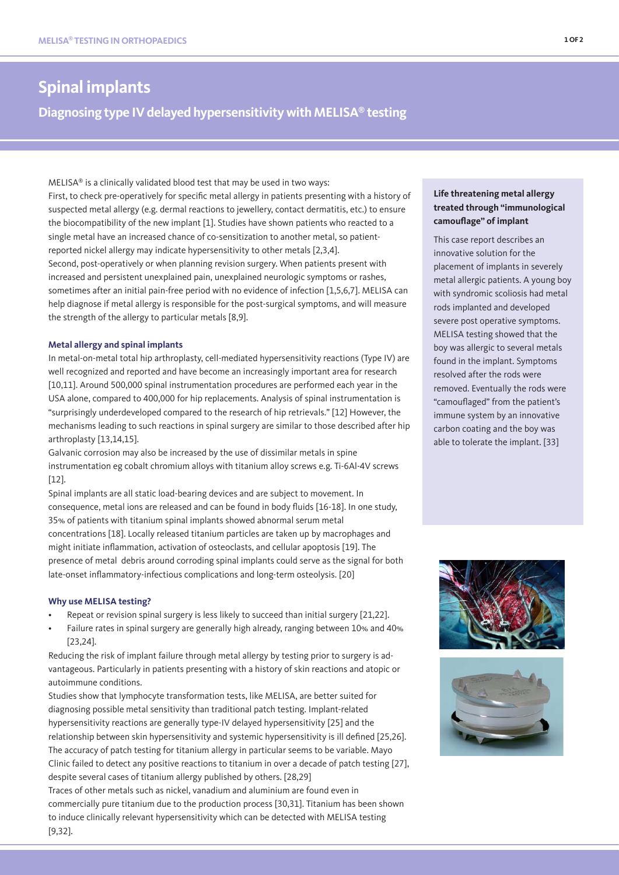# **Spinal implants**

# **Diagnosing type IV delayed hypersensitivity with MELISA® testing**

MELISA® is a clinically validated blood test that may be used in two ways: First, to check pre-operatively for specific metal allergy in patients presenting with a history of suspected metal allergy (e.g. dermal reactions to jewellery, contact dermatitis, etc.) to ensure the biocompatibility of the new implant [1]. Studies have shown patients who reacted to a single metal have an increased chance of co-sensitization to another metal, so patientreported nickel allergy may indicate hypersensitivity to other metals [2,3,4]. Second, post-operatively or when planning revision surgery. When patients present with increased and persistent unexplained pain, unexplained neurologic symptoms or rashes, sometimes after an initial pain-free period with no evidence of infection [1,5,6,7]. MELISA can help diagnose if metal allergy is responsible for the post-surgical symptoms, and will measure the strength of the allergy to particular metals [8,9].

#### **Metal allergy and spinal implants**

In metal-on-metal total hip arthroplasty, cell-mediated hypersensitivity reactions (Type IV) are well recognized and reported and have become an increasingly important area for research [10,11]. Around 500,000 spinal instrumentation procedures are performed each year in the USA alone, compared to 400,000 for hip replacements. Analysis of spinal instrumentation is "surprisingly underdeveloped compared to the research of hip retrievals." [12] However, the mechanisms leading to such reactions in spinal surgery are similar to those described after hip arthroplasty [13,14,15].

Galvanic corrosion may also be increased by the use of dissimilar metals in spine instrumentation eg cobalt chromium alloys with titanium alloy screws e.g. Ti-6Al-4V screws [12].

Spinal implants are all static load-bearing devices and are subject to movement. In consequence, metal ions are released and can be found in body fluids [16-18]. In one study, 35% of patients with titanium spinal implants showed abnormal serum metal concentrations [18]. Locally released titanium particles are taken up by macrophages and might initiate inflammation, activation of osteoclasts, and cellular apoptosis [19]. The presence of metal debris around corroding spinal implants could serve as the signal for both late-onset inflammatory-infectious complications and long-term osteolysis. [20]

## **Why use MELISA testing?**

- Repeat or revision spinal surgery is less likely to succeed than initial surgery [21,22].
- Failure rates in spinal surgery are generally high already, ranging between 10% and 40% [23,24].

Reducing the risk of implant failure through metal allergy by testing prior to surgery is advantageous. Particularly in patients presenting with a history of skin reactions and atopic or autoimmune conditions.

Studies show that lymphocyte transformation tests, like MELISA, are better suited for diagnosing possible metal sensitivity than traditional patch testing. Implant-related hypersensitivity reactions are generally type-IV delayed hypersensitivity [25] and the relationship between skin hypersensitivity and systemic hypersensitivity is ill defined [25,26]. The accuracy of patch testing for titanium allergy in particular seems to be variable. Mayo Clinic failed to detect any positive reactions to titanium in over a decade of patch testing [27], despite several cases of titanium allergy published by others. [28,29]

Traces of other metals such as nickel, vanadium and aluminium are found even in commercially pure titanium due to the production process [30,31]. Titanium has been shown to induce clinically relevant hypersensitivity which can be detected with MELISA testing [9,32].

# **Life threatening metal allergy treated through "immunological camouflage" of implant**

This case report describes an innovative solution for the placement of implants in severely metal allergic patients. A young boy with syndromic scoliosis had metal rods implanted and developed severe post operative symptoms. MELISA testing showed that the boy was allergic to several metals found in the implant. Symptoms resolved after the rods were removed. Eventually the rods were "camouflaged" from the patient's immune system by an innovative carbon coating and the boy was able to tolerate the implant. [33]